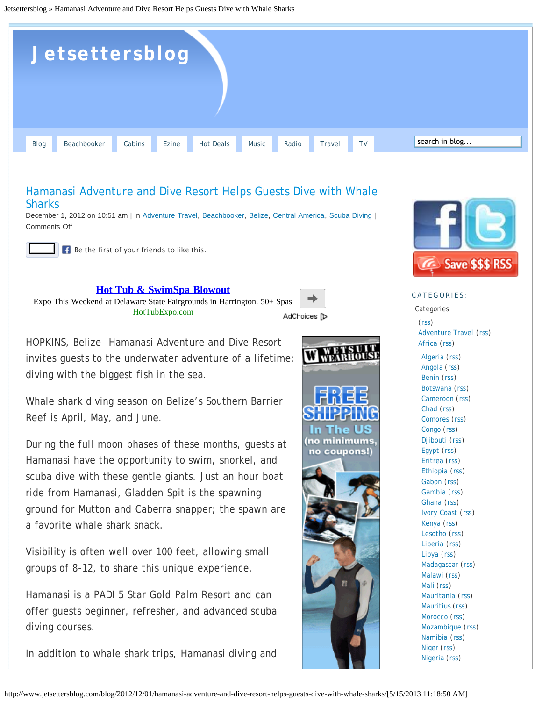<span id="page-0-0"></span>Jetsettersblog » Hamanasi Adventure and Dive Resort Helps Guests Dive with Whale Sharks



## [Hamanasi Adventure and Dive Resort Helps Guests Dive with Whale](#page-0-0) **[Sharks](#page-0-0)**

December 1, 2012 on 10:51 am | In [Adventure Travel](http://www.jetsettersblog.com/blog/category/adventure-travel/), [Beachbooker,](http://www.jetsettersblog.com/blog/category/beachbooker/) [Belize](http://www.jetsettersblog.com/blog/category/central-america/belize/), [Central America](http://www.jetsettersblog.com/blog/category/central-america/), [Scuba Diving](http://www.jetsettersblog.com/blog/category/scuba-diving/) | Comments Off

Like Be the first of your friends to like this.

**[Hot Tub & SwimSpa Blowout](http://googleads.g.doubleclick.net/aclk?sa=L&ai=C_YSDTqeTUai-K478kgTR2IDAApjhuJwD0IXhr1vAjbcBEAEg_6D8AVCj2NGz-_____8BYMnOq43spIQRyAEBqAMByAPTBKoEzgFP0FPGsebX5QnRKZpTaWvEBmHgzmFGkrGjWXy99IPWgBFAajGYgmpBd2EjWRoiOBKSryaUjf1mybrNnoV71h2zyipoOny_9SZ8iTzbsS-lDw3ck-5wapWk-yNzWcpOs1CZLUHDhPn8HrenSNx47X30I_VyFc_q7NABHMd9-jbzu8qG-P7_v56F9156dGNHrktdGBxi9dzp0L-9kgJvJH7tTsU1BjWdH1s8jkKcbkYpxEZT0Fe1Lzc4JdcNOIVgIvo2BD8I8BFOJjLwwHNkdIAHwPmeAw&num=1&sig=AOD64_1cXE6YK6Oz-Tq40b-8FYpZrHJDAw&client=ca-pub-4165904373260518&adurl=http://HotTubExpo.com)**

Expo This Weekend at Delaware State Fairgrounds in Harrington. 50+ Spas HotTubExpo.com



The US no minimums, no coupons!)

HOPKINS, Belize- Hamanasi Adventure and Dive Resort invites guests to the underwater adventure of a lifetime: diving with the biggest fish in the sea.

Whale shark diving season on Belize's Southern Barrier Reef is April, May, and June.

During the full moon phases of these months, guests at Hamanasi have the opportunity to swim, snorkel, and scuba dive with these gentle giants. Just an hour boat ride from Hamanasi, Gladden Spit is the spawning ground for Mutton and Caberra snapper; the spawn are a favorite whale shark snack.

Visibility is often well over 100 feet, allowing small groups of 8-12, to share this unique experience.

Hamanasi is a PADI 5 Star Gold Palm Resort and can offer guests beginner, refresher, and advanced scuba diving courses.

In addition to whale shark trips, Hamanasi diving and



## CATEGORIES:

Categories

([rss](http://www.jetsettersblog.com/blog/category/98/feed/)) [Adventure Travel](http://www.jetsettersblog.com/blog/category/adventure-travel/) ([rss\)](http://www.jetsettersblog.com/blog/category/adventure-travel/feed/) [Africa](http://www.jetsettersblog.com/blog/category/africa/) ([rss\)](http://www.jetsettersblog.com/blog/category/africa/feed/) [Algeria](http://www.jetsettersblog.com/blog/category/africa/algeria/) ([rss](http://www.jetsettersblog.com/blog/category/africa/algeria/feed/)) [Angola](http://www.jetsettersblog.com/blog/category/africa/angola/) ([rss](http://www.jetsettersblog.com/blog/category/africa/angola/feed/)) [Benin](http://www.jetsettersblog.com/blog/category/africa/benin/) ([rss](http://www.jetsettersblog.com/blog/category/africa/benin/feed/)) [Botswana](http://www.jetsettersblog.com/blog/category/africa/botswana/) ([rss\)](http://www.jetsettersblog.com/blog/category/africa/botswana/feed/) [Cameroon](http://www.jetsettersblog.com/blog/category/africa/cameroon/) ([rss](http://www.jetsettersblog.com/blog/category/africa/cameroon/feed/)) [Chad](http://www.jetsettersblog.com/blog/category/africa/chad/) ([rss\)](http://www.jetsettersblog.com/blog/category/africa/chad/feed/) [Comores](http://www.jetsettersblog.com/blog/category/africa/comores/) ([rss](http://www.jetsettersblog.com/blog/category/africa/comores/feed/)) [Congo](http://www.jetsettersblog.com/blog/category/africa/congo/) ([rss](http://www.jetsettersblog.com/blog/category/africa/congo/feed/)) [Djibouti](http://www.jetsettersblog.com/blog/category/africa/djibouti/) ([rss\)](http://www.jetsettersblog.com/blog/category/africa/djibouti/feed/) [Egypt](http://www.jetsettersblog.com/blog/category/africa/egypt/) ([rss](http://www.jetsettersblog.com/blog/category/africa/egypt/feed/)) [Eritrea](http://www.jetsettersblog.com/blog/category/africa/eritrea/) ([rss](http://www.jetsettersblog.com/blog/category/africa/eritrea/feed/)) [Ethiopia](http://www.jetsettersblog.com/blog/category/africa/ethiopia/) ([rss](http://www.jetsettersblog.com/blog/category/africa/ethiopia/feed/)) [Gabon](http://www.jetsettersblog.com/blog/category/africa/gabon/) ([rss\)](http://www.jetsettersblog.com/blog/category/africa/gabon/feed/) [Gambia](http://www.jetsettersblog.com/blog/category/africa/gambia/) ([rss](http://www.jetsettersblog.com/blog/category/africa/gambia/feed/)) [Ghana](http://www.jetsettersblog.com/blog/category/africa/ghana/) ([rss\)](http://www.jetsettersblog.com/blog/category/africa/ghana/feed/) [Ivory Coast](http://www.jetsettersblog.com/blog/category/africa/ivory-coast/) ([rss](http://www.jetsettersblog.com/blog/category/africa/ivory-coast/feed/)) [Kenya](http://www.jetsettersblog.com/blog/category/africa/kenya/) ([rss](http://www.jetsettersblog.com/blog/category/africa/kenya/feed/)) [Lesotho](http://www.jetsettersblog.com/blog/category/africa/lesotho/) ([rss](http://www.jetsettersblog.com/blog/category/africa/lesotho/feed/)) [Liberia](http://www.jetsettersblog.com/blog/category/africa/liberia/) ([rss](http://www.jetsettersblog.com/blog/category/africa/liberia/feed/)) [Libya](http://www.jetsettersblog.com/blog/category/africa/libya/) ([rss](http://www.jetsettersblog.com/blog/category/africa/libya/feed/)) [Madagascar](http://www.jetsettersblog.com/blog/category/africa/madagascar/) ([rss](http://www.jetsettersblog.com/blog/category/africa/madagascar/feed/)) [Malawi](http://www.jetsettersblog.com/blog/category/africa/malawi/) ([rss](http://www.jetsettersblog.com/blog/category/africa/malawi/feed/)) [Mali](http://www.jetsettersblog.com/blog/category/africa/mali/) ([rss](http://www.jetsettersblog.com/blog/category/africa/mali/feed/)) [Mauritania](http://www.jetsettersblog.com/blog/category/africa/mauritania/) ([rss](http://www.jetsettersblog.com/blog/category/africa/mauritania/feed/)) [Mauritius](http://www.jetsettersblog.com/blog/category/africa/mauritius/) ([rss](http://www.jetsettersblog.com/blog/category/africa/mauritius/feed/)) [Morocco](http://www.jetsettersblog.com/blog/category/africa/morocco/) ([rss](http://www.jetsettersblog.com/blog/category/africa/morocco/feed/)) [Mozambique](http://www.jetsettersblog.com/blog/category/africa/mozambique/) ([rss\)](http://www.jetsettersblog.com/blog/category/africa/mozambique/feed/) [Namibia](http://www.jetsettersblog.com/blog/category/africa/namibia/) ([rss](http://www.jetsettersblog.com/blog/category/africa/namibia/feed/)) [Niger](http://www.jetsettersblog.com/blog/category/africa/niger/) ([rss](http://www.jetsettersblog.com/blog/category/africa/niger/feed/)) [Nigeria](http://www.jetsettersblog.com/blog/category/africa/nigeria/) ([rss](http://www.jetsettersblog.com/blog/category/africa/nigeria/feed/))

```
http://www.jetsettersblog.com/blog/2012/12/01/hamanasi-adventure-and-dive-resort-helps-guests-dive-with-whale-sharks/[5/15/2013 11:18:50 AM]
```